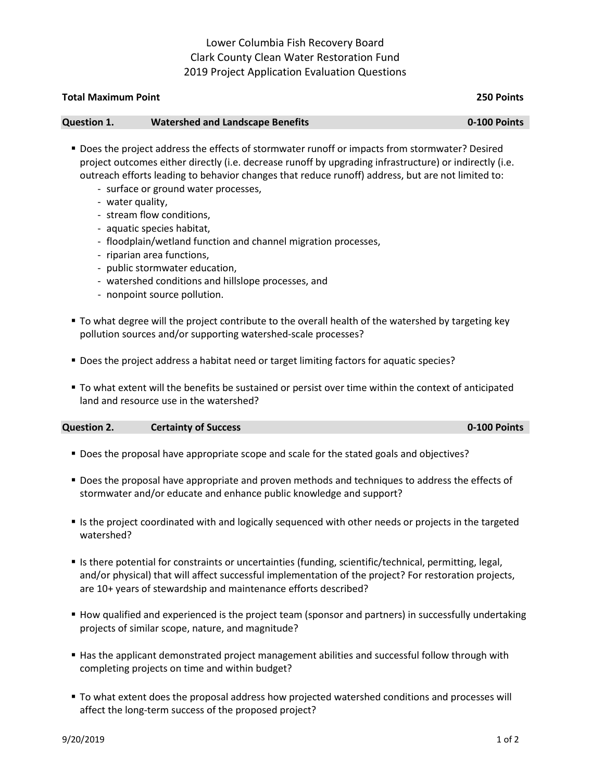## Lower Columbia Fish Recovery Board Clark County Clean Water Restoration Fund 2019 Project Application Evaluation Questions

| <b>Total Maximum Point</b> | 250 Points                              |              |
|----------------------------|-----------------------------------------|--------------|
| <b>Question 1.</b>         | <b>Watershed and Landscape Benefits</b> | 0-100 Points |

- Does the project address the effects of stormwater runoff or impacts from stormwater? Desired project outcomes either directly (i.e. decrease runoff by upgrading infrastructure) or indirectly (i.e. outreach efforts leading to behavior changes that reduce runoff) address, but are not limited to:
	- surface or ground water processes,
	- water quality,
	- stream flow conditions,
	- aquatic species habitat,
	- floodplain/wetland function and channel migration processes,
	- riparian area functions,
	- public stormwater education,
	- watershed conditions and hillslope processes, and
	- nonpoint source pollution.
- To what degree will the project contribute to the overall health of the watershed by targeting key pollution sources and/or supporting watershed-scale processes?
- Does the project address a habitat need or target limiting factors for aquatic species?
- To what extent will the benefits be sustained or persist over time within the context of anticipated land and resource use in the watershed?

**Question 2. Certainty of Success 0-100 Points** 

- Does the proposal have appropriate scope and scale for the stated goals and objectives?
- **Does the proposal have appropriate and proven methods and techniques to address the effects of** stormwater and/or educate and enhance public knowledge and support?
- If is the project coordinated with and logically sequenced with other needs or projects in the targeted watershed?
- Is there potential for constraints or uncertainties (funding, scientific/technical, permitting, legal, and/or physical) that will affect successful implementation of the project? For restoration projects, are 10+ years of stewardship and maintenance efforts described?
- How qualified and experienced is the project team (sponsor and partners) in successfully undertaking projects of similar scope, nature, and magnitude?
- Has the applicant demonstrated project management abilities and successful follow through with completing projects on time and within budget?
- To what extent does the proposal address how projected watershed conditions and processes will affect the long-term success of the proposed project?